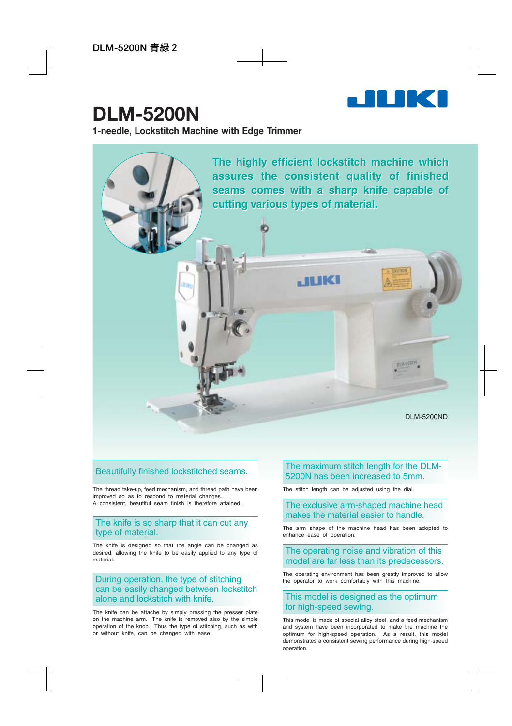

# **DLM-5200N**

**1-needle, Lockstitch Machine with Edge Trimmer**



### Beautifully finished lockstitched seams.

The thread take-up, feed mechanism, and thread path have been improved so as to respond to material changes. A consistent, beautiful seam finish is therefore attained.

#### The knife is so sharp that it can cut any type of material.

The knife is designed so that the angle can be changed as desired, allowing the knife to be easily applied to any type of material.

#### During operation, the type of stitching can be easily changed between lockstitch alone and lockstitch with knife.

The knife can be attache by simply pressing the presser plate on the machine arm. The knife is removed also by the simple operation of the knob. Thus the type of stitching, such as with or without knife, can be changed with ease.

#### The maximum stitch length for the DLM-5200N has been increased to 5mm.

The stitch length can be adjusted using the dial.

#### The exclusive arm-shaped machine head makes the material easier to handle.

The arm shape of the machine head has been adopted to enhance ease of operation.

#### The operating noise and vibration of this model are far less than its predecessors.

The operating environment has been greatly improved to allow the operator to work comfortably with this machine.

### This model is designed as the optimum for high-speed sewing.

This model is made of special alloy steel, and a feed mechanism and system have been incorporated to make the machine the optimum for high-speed operation. As a result, this model demonstrates a consistent sewing performance during high-speed operation.